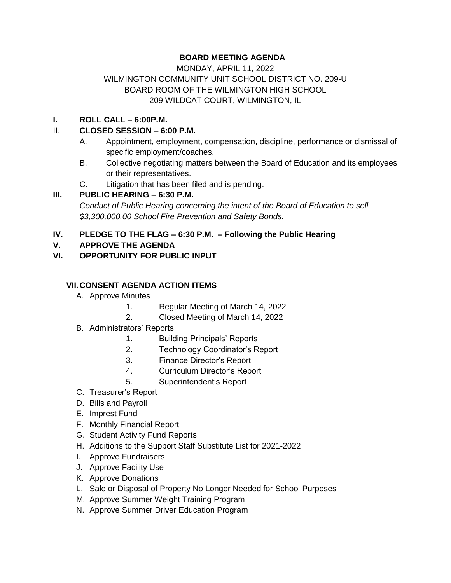# **BOARD MEETING AGENDA**

## MONDAY, APRIL 11, 2022 WILMINGTON COMMUNITY UNIT SCHOOL DISTRICT NO. 209-U BOARD ROOM OF THE WILMINGTON HIGH SCHOOL 209 WILDCAT COURT, WILMINGTON, IL

### **I. ROLL CALL – 6:00P.M.**

## II. **CLOSED SESSION – 6:00 P.M.**

- A. Appointment, employment, compensation, discipline, performance or dismissal of specific employment/coaches.
- B. Collective negotiating matters between the Board of Education and its employees or their representatives.
- C. Litigation that has been filed and is pending.

### **III. PUBLIC HEARING – 6:30 P.M.**

*Conduct of Public Hearing concerning the intent of the Board of Education to sell \$3,300,000.00 School Fire Prevention and Safety Bonds.*

### **IV. PLEDGE TO THE FLAG – 6:30 P.M. – Following the Public Hearing**

## **V. APPROVE THE AGENDA**

### **VI. OPPORTUNITY FOR PUBLIC INPUT**

### **VII.CONSENT AGENDA ACTION ITEMS**

- A. Approve Minutes
	- 1. Regular Meeting of March 14, 2022
	- 2. Closed Meeting of March 14, 2022
- B. Administrators' Reports
	- 1. Building Principals' Reports
	- 2. Technology Coordinator's Report
	- 3. Finance Director's Report
	- 4. Curriculum Director's Report
	- 5. Superintendent's Report
- C. Treasurer's Report
- D. Bills and Payroll
- E. Imprest Fund
- F. Monthly Financial Report
- G. Student Activity Fund Reports
- H. Additions to the Support Staff Substitute List for 2021-2022
- I. Approve Fundraisers
- J. Approve Facility Use
- K. Approve Donations
- L. Sale or Disposal of Property No Longer Needed for School Purposes
- M. Approve Summer Weight Training Program
- N. Approve Summer Driver Education Program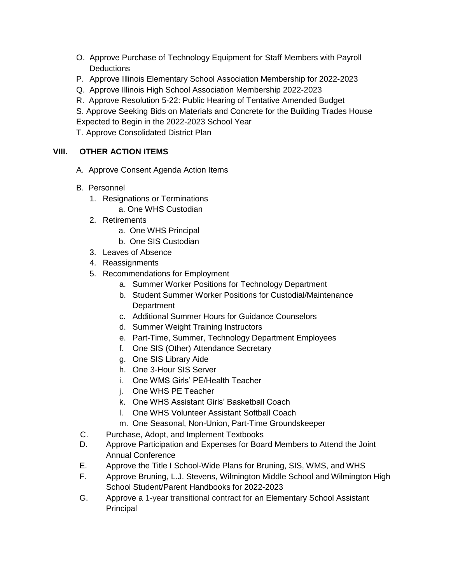- O. Approve Purchase of Technology Equipment for Staff Members with Payroll **Deductions**
- P. Approve Illinois Elementary School Association Membership for 2022-2023
- Q. Approve Illinois High School Association Membership 2022-2023
- R. Approve Resolution 5-22: Public Hearing of Tentative Amended Budget

S. Approve Seeking Bids on Materials and Concrete for the Building Trades House Expected to Begin in the 2022-2023 School Year

T. Approve Consolidated District Plan

# **VIII. OTHER ACTION ITEMS**

- A. Approve Consent Agenda Action Items
- B. Personnel
	- 1. Resignations or Terminations
		- a. One WHS Custodian
	- 2. Retirements
		- a. One WHS Principal
		- b. One SIS Custodian
	- 3. Leaves of Absence
	- 4. Reassignments
	- 5. Recommendations for Employment
		- a. Summer Worker Positions for Technology Department
		- b. Student Summer Worker Positions for Custodial/Maintenance **Department**
		- c. Additional Summer Hours for Guidance Counselors
		- d. Summer Weight Training Instructors
		- e. Part-Time, Summer, Technology Department Employees
		- f. One SIS (Other) Attendance Secretary
		- g. One SIS Library Aide
		- h. One 3-Hour SIS Server
		- i. One WMS Girls' PE/Health Teacher
		- j. One WHS PE Teacher
		- k. One WHS Assistant Girls' Basketball Coach
		- l. One WHS Volunteer Assistant Softball Coach
		- m. One Seasonal, Non-Union, Part-Time Groundskeeper
- C. Purchase, Adopt, and Implement Textbooks
- D. Approve Participation and Expenses for Board Members to Attend the Joint Annual Conference
- E. Approve the Title I School-Wide Plans for Bruning, SIS, WMS, and WHS
- F. Approve Bruning, L.J. Stevens, Wilmington Middle School and Wilmington High School Student/Parent Handbooks for 2022-2023
- G. Approve a 1-year transitional contract for an Elementary School Assistant Principal